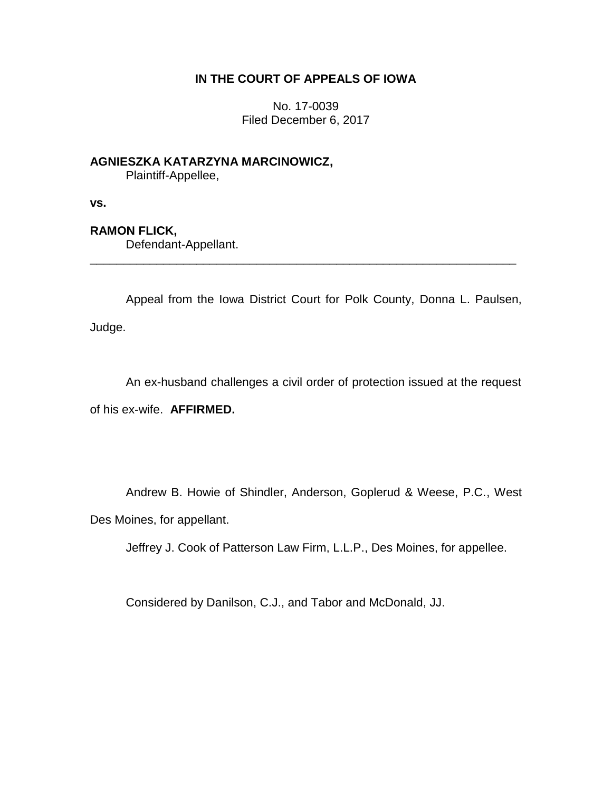## **IN THE COURT OF APPEALS OF IOWA**

No. 17-0039 Filed December 6, 2017

**AGNIESZKA KATARZYNA MARCINOWICZ,**

Plaintiff-Appellee,

**vs.**

# **RAMON FLICK,**

Defendant-Appellant.

Appeal from the Iowa District Court for Polk County, Donna L. Paulsen, Judge.

\_\_\_\_\_\_\_\_\_\_\_\_\_\_\_\_\_\_\_\_\_\_\_\_\_\_\_\_\_\_\_\_\_\_\_\_\_\_\_\_\_\_\_\_\_\_\_\_\_\_\_\_\_\_\_\_\_\_\_\_\_\_\_\_

An ex-husband challenges a civil order of protection issued at the request of his ex-wife. **AFFIRMED.**

Andrew B. Howie of Shindler, Anderson, Goplerud & Weese, P.C., West Des Moines, for appellant.

Jeffrey J. Cook of Patterson Law Firm, L.L.P., Des Moines, for appellee.

Considered by Danilson, C.J., and Tabor and McDonald, JJ.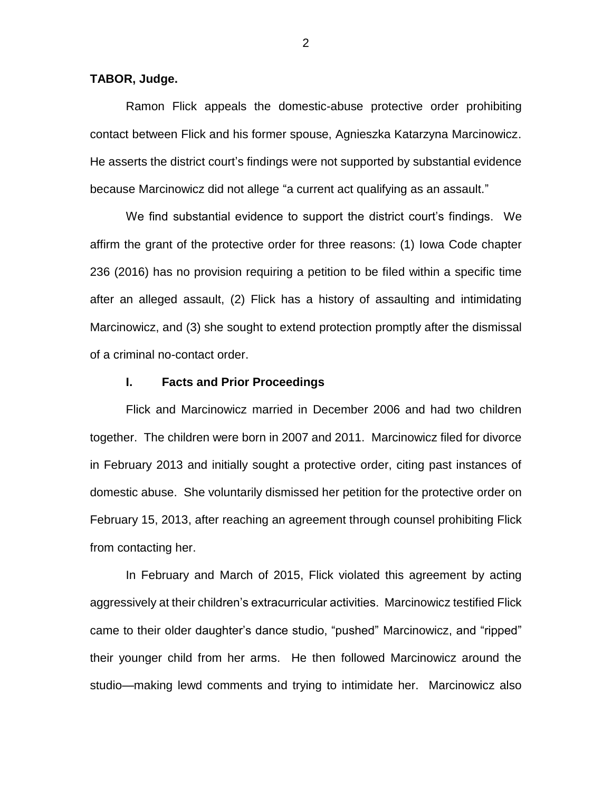## **TABOR, Judge.**

Ramon Flick appeals the domestic-abuse protective order prohibiting contact between Flick and his former spouse, Agnieszka Katarzyna Marcinowicz. He asserts the district court's findings were not supported by substantial evidence because Marcinowicz did not allege "a current act qualifying as an assault."

We find substantial evidence to support the district court's findings. We affirm the grant of the protective order for three reasons: (1) Iowa Code chapter 236 (2016) has no provision requiring a petition to be filed within a specific time after an alleged assault, (2) Flick has a history of assaulting and intimidating Marcinowicz, and (3) she sought to extend protection promptly after the dismissal of a criminal no-contact order.

#### **I. Facts and Prior Proceedings**

Flick and Marcinowicz married in December 2006 and had two children together. The children were born in 2007 and 2011. Marcinowicz filed for divorce in February 2013 and initially sought a protective order, citing past instances of domestic abuse. She voluntarily dismissed her petition for the protective order on February 15, 2013, after reaching an agreement through counsel prohibiting Flick from contacting her.

In February and March of 2015, Flick violated this agreement by acting aggressively at their children's extracurricular activities. Marcinowicz testified Flick came to their older daughter's dance studio, "pushed" Marcinowicz, and "ripped" their younger child from her arms. He then followed Marcinowicz around the studio—making lewd comments and trying to intimidate her. Marcinowicz also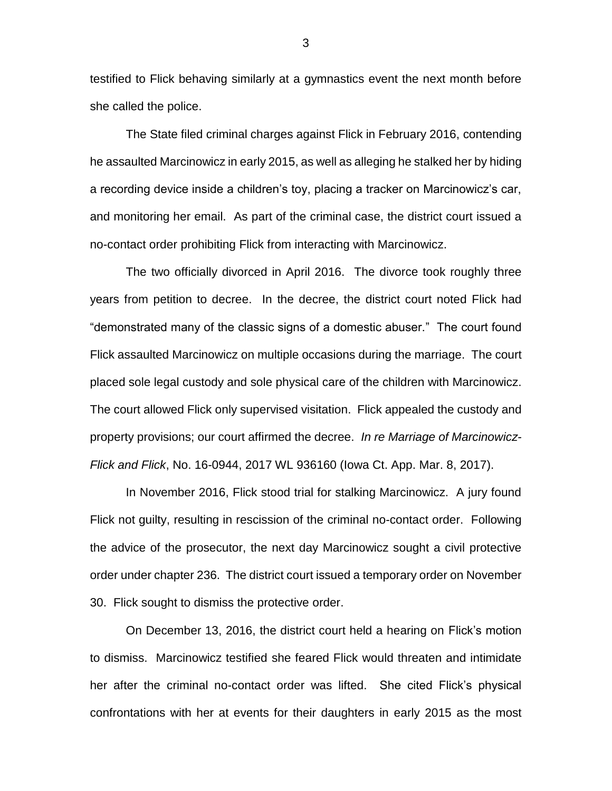testified to Flick behaving similarly at a gymnastics event the next month before she called the police.

The State filed criminal charges against Flick in February 2016, contending he assaulted Marcinowicz in early 2015, as well as alleging he stalked her by hiding a recording device inside a children's toy, placing a tracker on Marcinowicz's car, and monitoring her email. As part of the criminal case, the district court issued a no-contact order prohibiting Flick from interacting with Marcinowicz.

The two officially divorced in April 2016. The divorce took roughly three years from petition to decree. In the decree, the district court noted Flick had "demonstrated many of the classic signs of a domestic abuser." The court found Flick assaulted Marcinowicz on multiple occasions during the marriage. The court placed sole legal custody and sole physical care of the children with Marcinowicz. The court allowed Flick only supervised visitation. Flick appealed the custody and property provisions; our court affirmed the decree. *In re Marriage of Marcinowicz-Flick and Flick*, No. 16-0944, 2017 WL 936160 (Iowa Ct. App. Mar. 8, 2017).

In November 2016, Flick stood trial for stalking Marcinowicz. A jury found Flick not guilty, resulting in rescission of the criminal no-contact order. Following the advice of the prosecutor, the next day Marcinowicz sought a civil protective order under chapter 236. The district court issued a temporary order on November 30. Flick sought to dismiss the protective order.

On December 13, 2016, the district court held a hearing on Flick's motion to dismiss. Marcinowicz testified she feared Flick would threaten and intimidate her after the criminal no-contact order was lifted. She cited Flick's physical confrontations with her at events for their daughters in early 2015 as the most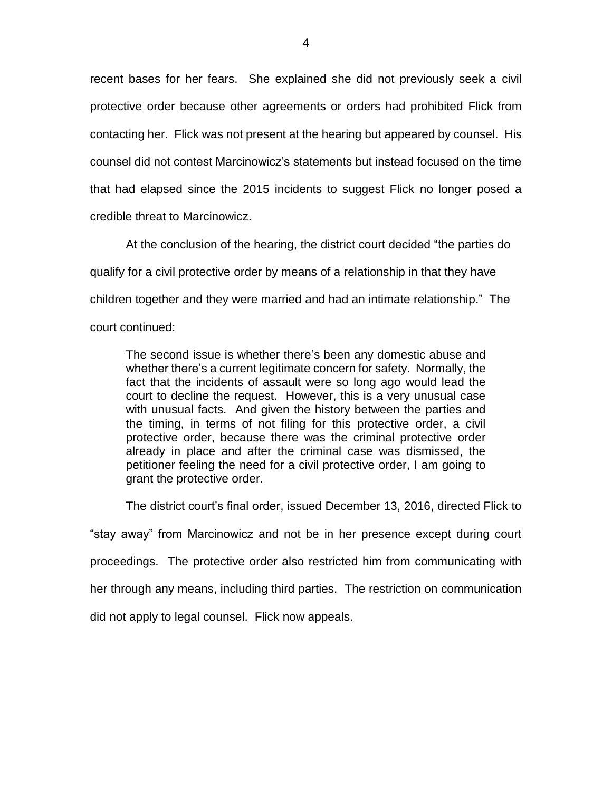recent bases for her fears. She explained she did not previously seek a civil protective order because other agreements or orders had prohibited Flick from contacting her. Flick was not present at the hearing but appeared by counsel. His counsel did not contest Marcinowicz's statements but instead focused on the time that had elapsed since the 2015 incidents to suggest Flick no longer posed a credible threat to Marcinowicz.

At the conclusion of the hearing, the district court decided "the parties do qualify for a civil protective order by means of a relationship in that they have children together and they were married and had an intimate relationship." The court continued:

The second issue is whether there's been any domestic abuse and whether there's a current legitimate concern for safety. Normally, the fact that the incidents of assault were so long ago would lead the court to decline the request. However, this is a very unusual case with unusual facts. And given the history between the parties and the timing, in terms of not filing for this protective order, a civil protective order, because there was the criminal protective order already in place and after the criminal case was dismissed, the petitioner feeling the need for a civil protective order, I am going to grant the protective order.

The district court's final order, issued December 13, 2016, directed Flick to

"stay away" from Marcinowicz and not be in her presence except during court proceedings. The protective order also restricted him from communicating with her through any means, including third parties. The restriction on communication did not apply to legal counsel. Flick now appeals.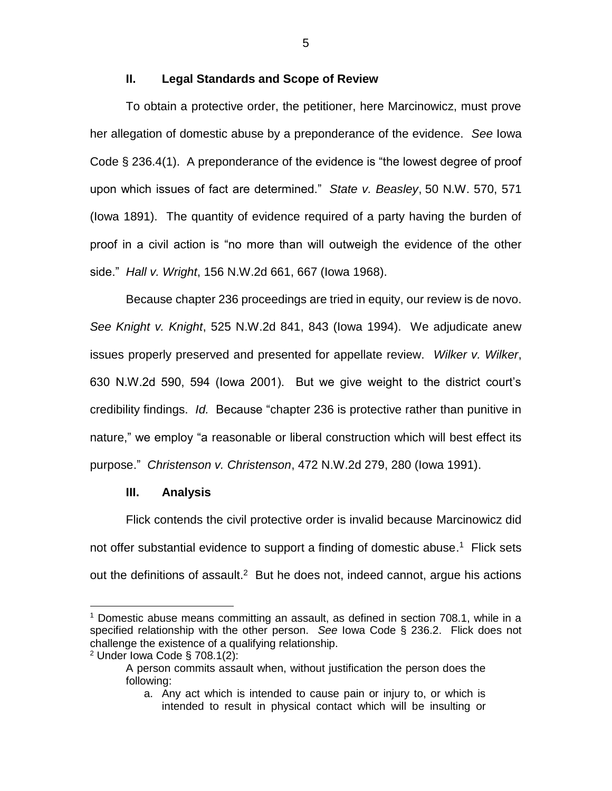## **II. Legal Standards and Scope of Review**

To obtain a protective order, the petitioner, here Marcinowicz, must prove her allegation of domestic abuse by a preponderance of the evidence. *See* Iowa Code § 236.4(1). A preponderance of the evidence is "the lowest degree of proof upon which issues of fact are determined." *State v. Beasley*, 50 N.W. 570, 571 (Iowa 1891). The quantity of evidence required of a party having the burden of proof in a civil action is "no more than will outweigh the evidence of the other side." *Hall v. Wright*, 156 N.W.2d 661, 667 (Iowa 1968).

Because chapter 236 proceedings are tried in equity, our review is de novo. *See Knight v. Knight*, 525 N.W.2d 841, 843 (Iowa 1994). We adjudicate anew issues properly preserved and presented for appellate review. *Wilker v. Wilker*, 630 N.W.2d 590, 594 (Iowa 2001). But we give weight to the district court's credibility findings. *Id.* Because "chapter 236 is protective rather than punitive in nature," we employ "a reasonable or liberal construction which will best effect its purpose." *Christenson v. Christenson*, 472 N.W.2d 279, 280 (Iowa 1991).

## **III. Analysis**

Flick contends the civil protective order is invalid because Marcinowicz did not offer substantial evidence to support a finding of domestic abuse.<sup>1</sup> Flick sets out the definitions of assault.<sup>2</sup> But he does not, indeed cannot, argue his actions

 $\overline{a}$ 

<sup>1</sup> Domestic abuse means committing an assault, as defined in section 708.1, while in a specified relationship with the other person. *See* Iowa Code § 236.2. Flick does not challenge the existence of a qualifying relationship.

 $2$  Under Iowa Code § 708.1(2):

A person commits assault when, without justification the person does the following:

a. Any act which is intended to cause pain or injury to, or which is intended to result in physical contact which will be insulting or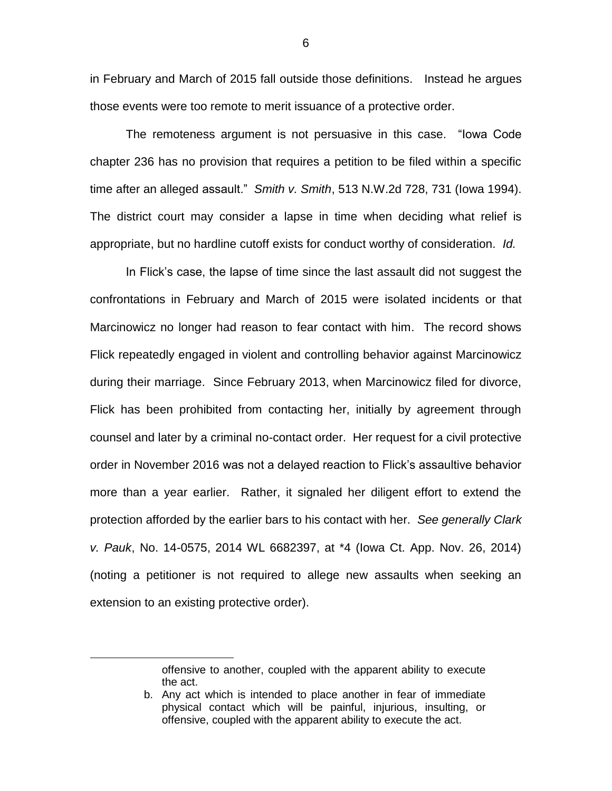in February and March of 2015 fall outside those definitions. Instead he argues those events were too remote to merit issuance of a protective order.

The remoteness argument is not persuasive in this case. "Iowa Code chapter 236 has no provision that requires a petition to be filed within a specific time after an alleged assault." *Smith v. Smith*, 513 N.W.2d 728, 731 (Iowa 1994). The district court may consider a lapse in time when deciding what relief is appropriate, but no hardline cutoff exists for conduct worthy of consideration. *Id.*

In Flick's case, the lapse of time since the last assault did not suggest the confrontations in February and March of 2015 were isolated incidents or that Marcinowicz no longer had reason to fear contact with him. The record shows Flick repeatedly engaged in violent and controlling behavior against Marcinowicz during their marriage. Since February 2013, when Marcinowicz filed for divorce, Flick has been prohibited from contacting her, initially by agreement through counsel and later by a criminal no-contact order. Her request for a civil protective order in November 2016 was not a delayed reaction to Flick's assaultive behavior more than a year earlier. Rather, it signaled her diligent effort to extend the protection afforded by the earlier bars to his contact with her. *See generally Clark v. Pauk*, No. 14-0575, 2014 WL 6682397, at \*4 (Iowa Ct. App. Nov. 26, 2014) (noting a petitioner is not required to allege new assaults when seeking an extension to an existing protective order).

 $\overline{a}$ 

offensive to another, coupled with the apparent ability to execute the act.

b. Any act which is intended to place another in fear of immediate physical contact which will be painful, injurious, insulting, or offensive, coupled with the apparent ability to execute the act.